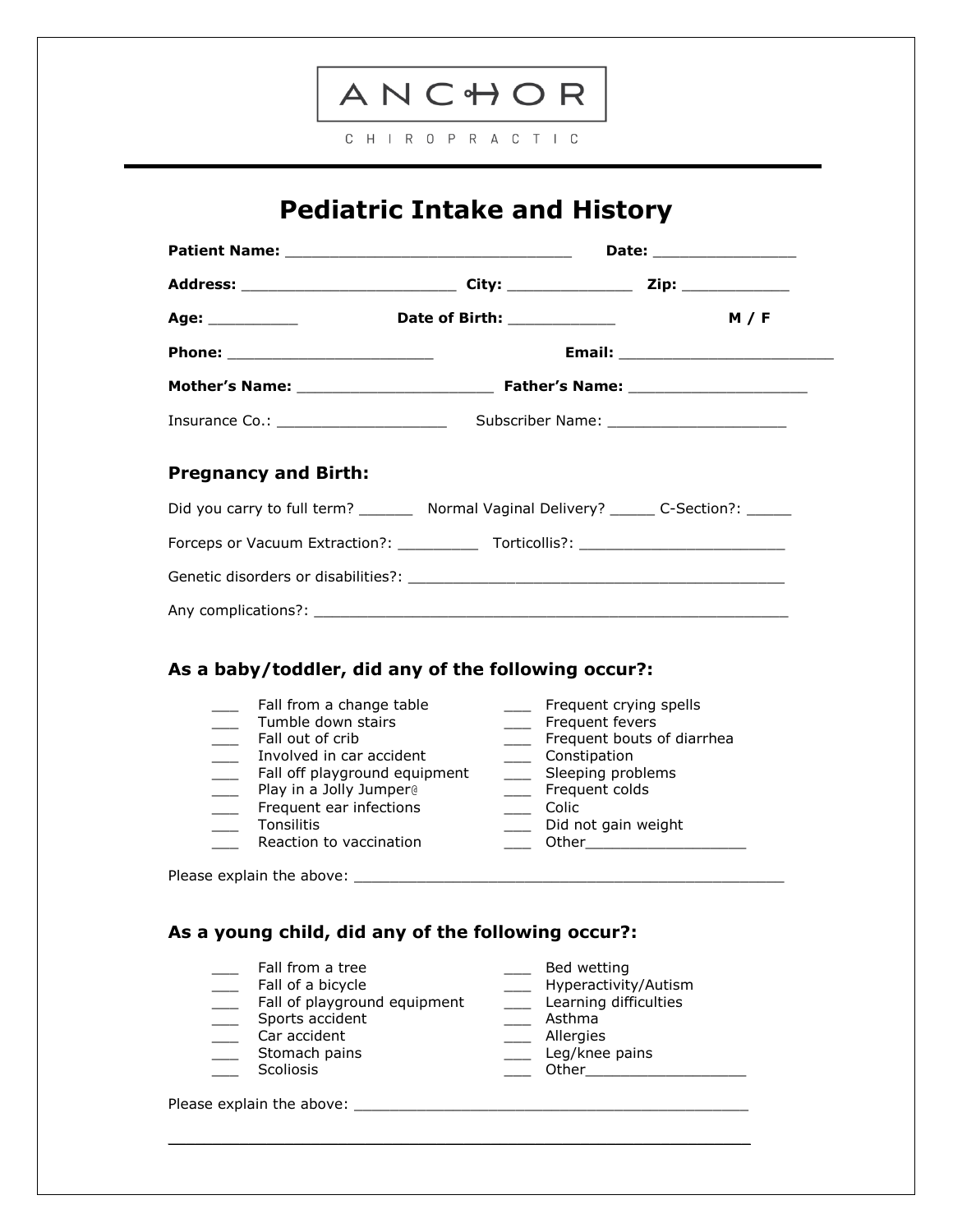

C H I R O P R A C T I C

## **Pediatric Intake and History**

|                             |                                                                                           | Date: ________________ |
|-----------------------------|-------------------------------------------------------------------------------------------|------------------------|
|                             |                                                                                           |                        |
|                             |                                                                                           | M / F                  |
|                             |                                                                                           |                        |
|                             |                                                                                           |                        |
|                             | Subscriber Name: ________________________                                                 |                        |
| <b>Pregnancy and Birth:</b> |                                                                                           |                        |
|                             | Did you carry to full term? _________ Normal Vaginal Delivery? _______ C-Section?: ______ |                        |
|                             | Forceps or Vacuum Extraction?: ______________ Torticollis?: _____________________         |                        |
|                             |                                                                                           |                        |
|                             |                                                                                           |                        |

## **As a baby/toddler, did any of the following occur?:**

| Fall from a change table      | Frequent crying spells     |
|-------------------------------|----------------------------|
| Tumble down stairs            | Frequent fevers            |
| Fall out of crib              | Frequent bouts of diarrhea |
| Involved in car accident      | Constipation               |
| Fall off playground equipment | Sleeping problems          |
| Play in a Jolly Jumper@       | Frequent colds             |
| Frequent ear infections       | Colic                      |
| <b>Tonsilitis</b>             | Did not gain weight        |
| Reaction to vaccination       | Other                      |
| Please explain the above:     |                            |

\_\_\_\_\_\_\_\_\_\_\_\_\_\_\_\_\_\_\_\_\_\_\_\_\_\_\_\_\_\_\_\_\_\_\_\_\_\_\_\_\_\_\_\_\_\_\_\_\_\_\_\_\_\_\_\_\_\_\_\_\_\_\_\_\_

## **As a young child, did any of the following occur?:**

| Fall from a tree  | Bed wetting          |
|-------------------|----------------------|
| Fall of a bicycle | Hyperactivity/Autism |

\_\_\_ Fall of playground equipment \_\_\_ Learning difficulties

- \_\_\_ Sports accident \_\_\_ Asthma
- Lacktrian Car accident the contraction of the contraction of the contraction of the contraction of the contraction of the contraction of the contraction of the contraction of the contraction of the contraction of the contr
	-
	-

Please explain the above: \_\_\_\_\_\_\_\_\_\_\_\_\_\_\_\_\_\_\_\_\_\_\_\_\_\_\_\_\_\_\_\_\_\_\_\_\_\_\_\_\_\_\_\_

- 
- 
- 
- 
- 
- Leg/knee pains and the stomach pains and the storm of the Leg/knee pains \_\_\_ Scoliosis \_\_\_ Other\_\_\_\_\_\_\_\_\_\_\_\_\_\_\_\_\_\_
	-